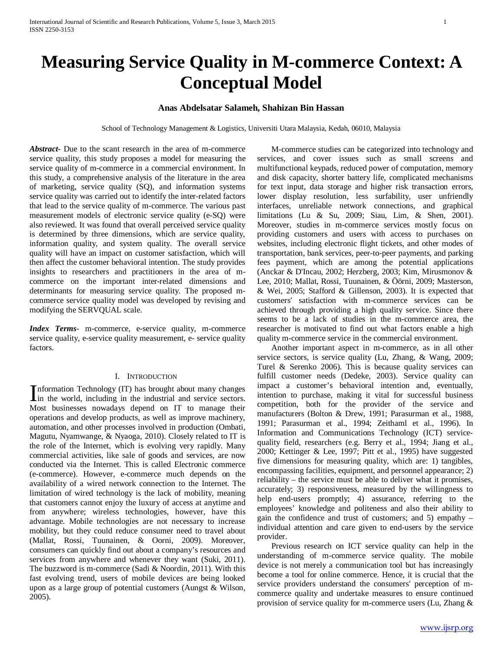# **Measuring Service Quality in M-commerce Context: A Conceptual Model**

## **Anas Abdelsatar Salameh, Shahizan Bin Hassan**

School of Technology Management & Logistics, Universiti Utara Malaysia, Kedah, 06010, Malaysia

*Abstract***-** Due to the scant research in the area of m-commerce service quality, this study proposes a model for measuring the service quality of m-commerce in a commercial environment. In this study, a comprehensive analysis of the literature in the area of marketing, service quality (SQ), and information systems service quality was carried out to identify the inter-related factors that lead to the service quality of m-commerce. The various past measurement models of electronic service quality (e-SQ) were also reviewed. It was found that overall perceived service quality is determined by three dimensions, which are service quality, information quality, and system quality. The overall service quality will have an impact on customer satisfaction, which will then affect the customer behavioral intention. The study provides insights to researchers and practitioners in the area of mcommerce on the important inter-related dimensions and determinants for measuring service quality. The proposed mcommerce service quality model was developed by revising and modifying the SERVQUAL scale.

*Index Terms*- m-commerce, e-service quality, m-commerce service quality, e-service quality measurement, e- service quality factors.

## I. INTRODUCTION

nformation Technology (IT) has brought about many changes Information Technology (IT) has brought about many changes<br>in the world, including in the industrial and service sectors. Most businesses nowadays depend on IT to manage their operations and develop products, as well as improve machinery, automation, and other processes involved in production (Ombati, Magutu, Nyamwange, & Nyaoga, 2010). Closely related to IT is the role of the Internet, which is evolving very rapidly. Many commercial activities, like sale of goods and services, are now conducted via the Internet. This is called Electronic commerce (e-commerce). However, e-commerce much depends on the availability of a wired network connection to the Internet. The limitation of wired technology is the lack of mobility, meaning that customers cannot enjoy the luxury of access at anytime and from anywhere; wireless technologies, however, have this advantage. Mobile technologies are not necessary to increase mobility, but they could reduce consumer need to travel about (Mallat, Rossi, Tuunainen, & Oorni, 2009). Moreover, consumers can quickly find out about a company's resources and services from anywhere and whenever they want (Suki, 2011). The buzzword is m-commerce (Sadi & Noordin, 2011). With this fast evolving trend, users of mobile devices are being looked upon as a large group of potential customers (Aungst & Wilson, 2005).

 M-commerce studies can be categorized into technology and services, and cover issues such as small screens and multifunctional keypads, reduced power of computation, memory and disk capacity, shorter battery life, complicated mechanisms for text input, data storage and higher risk transaction errors, lower display resolution, less surfability, user unfriendly interfaces, unreliable network connections, and graphical limitations (Lu & Su, 2009; Siau, Lim, & Shen, 2001). Moreover, studies in m-commerce services mostly focus on providing customers and users with access to purchases on websites, including electronic flight tickets, and other modes of transportation, bank services, peer-to-peer payments, and parking fees payment, which are among the potential applications (Anckar & D'Incau, 2002; Herzberg, 2003; Kim, Mirusmonov & Lee, 2010; Mallat, Rossi, Tuunainen, & Öörni, 2009; Masterson, & Wei, 2005; Stafford & Gillenson, 2003). It is expected that customers' satisfaction with m-commerce services can be achieved through providing a high quality service. Since there seems to be a lack of studies in the m-commerce area, the researcher is motivated to find out what factors enable a high quality m-commerce service in the commercial environment.

 Another important aspect in m-commerce, as in all other service sectors, is service quality (Lu, Zhang, & Wang, 2009; Turel & Serenko 2006). This is because quality services can fulfill customer needs (Dedeke, 2003). Service quality can impact a customer's behavioral intention and, eventually, intention to purchase, making it vital for successful business competition, both for the provider of the service and manufacturers (Bolton & Drew, 1991; Parasurman et al., 1988, 1991; Parasurman et al., 1994; Zeithaml et al., 1996). In Information and Communications Technology (ICT) servicequality field, researchers (e.g. Berry et al., 1994; Jiang et al., 2000; Kettinger & Lee, 1997; Pitt et al., 1995) have suggested five dimensions for measuring quality, which are: 1) tangibles, encompassing facilities, equipment, and personnel appearance; 2) reliability – the service must be able to deliver what it promises, accurately; 3) responsiveness, measured by the willingness to help end-users promptly; 4) assurance, referring to the employees' knowledge and politeness and also their ability to gain the confidence and trust of customers; and 5) empathy – individual attention and care given to end-users by the service provider.

 Previous research on ICT service quality can help in the understanding of m-commerce service quality. The mobile device is not merely a communication tool but has increasingly become a tool for online commerce. Hence, it is crucial that the service providers understand the consumers' perception of mcommerce quality and undertake measures to ensure continued provision of service quality for m-commerce users (Lu, Zhang &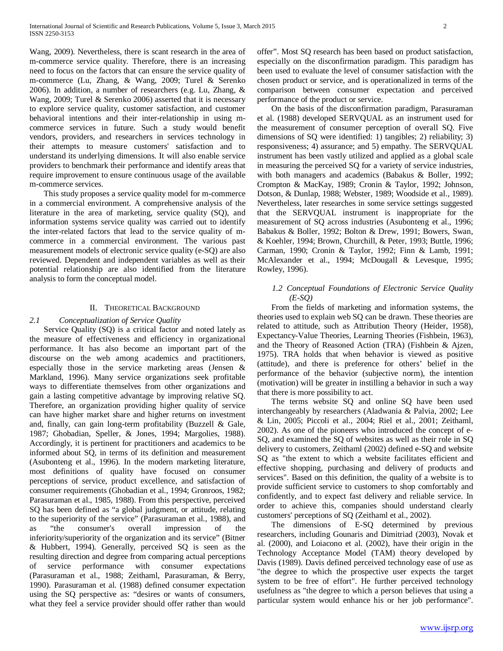Wang, 2009). Nevertheless, there is scant research in the area of m-commerce service quality. Therefore, there is an increasing need to focus on the factors that can ensure the service quality of m-commerce (Lu, Zhang, & Wang, 2009; Turel & Serenko 2006). In addition, a number of researchers (e.g. Lu, Zhang, & Wang, 2009; Turel & Serenko 2006) asserted that it is necessary to explore service quality, customer satisfaction, and customer behavioral intentions and their inter-relationship in using mcommerce services in future. Such a study would benefit vendors, providers, and researchers in services technology in their attempts to measure customers' satisfaction and to understand its underlying dimensions. It will also enable service providers to benchmark their performance and identify areas that require improvement to ensure continuous usage of the available m-commerce services.

 This study proposes a service quality model for m-commerce in a commercial environment. A comprehensive analysis of the literature in the area of marketing, service quality (SQ), and information systems service quality was carried out to identify the inter-related factors that lead to the service quality of mcommerce in a commercial environment. The various past measurement models of electronic service quality (e-SQ) are also reviewed. Dependent and independent variables as well as their potential relationship are also identified from the literature analysis to form the conceptual model.

#### II. THEORETICAL BACKGROUND

#### *2.1 Conceptualization of Service Quality*

 Service Quality (SQ) is a critical factor and noted lately as the measure of effectiveness and efficiency in organizational performance. It has also become an important part of the discourse on the web among academics and practitioners, especially those in the service marketing areas (Jensen & Markland, 1996). Many service organizations seek profitable ways to differentiate themselves from other organizations and gain a lasting competitive advantage by improving relative SQ. Therefore, an organization providing higher quality of service can have higher market share and higher returns on investment and, finally, can gain long-term profitability (Buzzell & Gale, 1987; Ghobadian, Speller, & Jones, 1994; Margolies, 1988). Accordingly, it is pertinent for practitioners and academics to be informed about SQ, in terms of its definition and measurement (Asubonteng et al., 1996). In the modern marketing literature, most definitions of quality have focused on consumer perceptions of service, product excellence, and satisfaction of consumer requirements (Ghobadian et al., 1994; Gronroos, 1982; Parasuraman et al., 1985, 1988). From this perspective, perceived SQ has been defined as "a global judgment, or attitude, relating to the superiority of the service" (Parasuraman et al., 1988), and as "the consumer's overall impression of the inferiority/superiority of the organization and its service" (Bitner & Hubbert, 1994). Generally, perceived SQ is seen as the resulting direction and degree from comparing actual perceptions of service performance with consumer expectations (Parasuraman et al., 1988; Zeithaml, Parasuraman, & Berry, 1990). Parasuraman et al. (1988) defined consumer expectation using the SQ perspective as: "desires or wants of consumers, what they feel a service provider should offer rather than would

offer". Most SQ research has been based on product satisfaction, especially on the disconfirmation paradigm. This paradigm has been used to evaluate the level of consumer satisfaction with the chosen product or service, and is operationalized in terms of the comparison between consumer expectation and perceived performance of the product or service.

 On the basis of the disconfirmation paradigm, Parasuraman et al. (1988) developed SERVQUAL as an instrument used for the measurement of consumer perception of overall SQ. Five dimensions of SQ were identified: 1) tangibles; 2) reliability; 3) responsiveness; 4) assurance; and 5) empathy. The SERVQUAL instrument has been vastly utilized and applied as a global scale in measuring the perceived SQ for a variety of service industries, with both managers and academics (Babakus & Boller, 1992; Crompton & MacKay, 1989; Cronin & Taylor, 1992; Johnson, Dotson, & Dunlap, 1988; Webster, 1989; Woodside et al., 1989). Nevertheless, later researches in some service settings suggested that the SERVQUAL instrument is inappropriate for the measurement of SQ across industries (Asubonteng et al., 1996; Babakus & Boller, 1992; Bolton & Drew, 1991; Bowers, Swan, & Koehler, 1994; Brown, Churchill, & Peter, 1993; Buttle, 1996; Carman, 1990; Cronin & Taylor, 1992; Finn & Lamb, 1991; McAlexander et al., 1994; McDougall & Levesque, 1995; Rowley, 1996).

## *1.2 Conceptual Foundations of Electronic Service Quality (E-SQ)*

 From the fields of marketing and information systems, the theories used to explain web SQ can be drawn. These theories are related to attitude, such as Attribution Theory (Heider, 1958), Expectancy-Value Theories, Learning Theories (Fishbein, 1963), and the Theory of Reasoned Action (TRA) (Fishbein & Ajzen, 1975). TRA holds that when behavior is viewed as positive (attitude), and there is preference for others' belief in the performance of the behavior (subjective norm), the intention (motivation) will be greater in instilling a behavior in such a way that there is more possibility to act.

 The terms website SQ and online SQ have been used interchangeably by researchers (Aladwania & Palvia, 2002; Lee & Lin, 2005; Piccoli et al., 2004; Riel et al., 2001; Zeithaml, 2002). As one of the pioneers who introduced the concept of e-SQ, and examined the SQ of websites as well as their role in SQ delivery to customers, Zeithaml (2002) defined e-SQ and website SQ as "the extent to which a website facilitates efficient and effective shopping, purchasing and delivery of products and services". Based on this definition, the quality of a website is to provide sufficient service to customers to shop comfortably and confidently, and to expect fast delivery and reliable service. In order to achieve this, companies should understand clearly customers' perceptions of SQ (Zeithaml et al., 2002).

 The dimensions of E-SQ determined by previous researchers, including Gounaris and Dimitriad (2003), Novak et al. (2000), and Loiacono et al. (2002), have their origin in the Technology Acceptance Model (TAM) theory developed by Davis (1989). Davis defined perceived technology ease of use as "the degree to which the prospective user expects the target system to be free of effort". He further perceived technology usefulness as "the degree to which a person believes that using a particular system would enhance his or her job performance".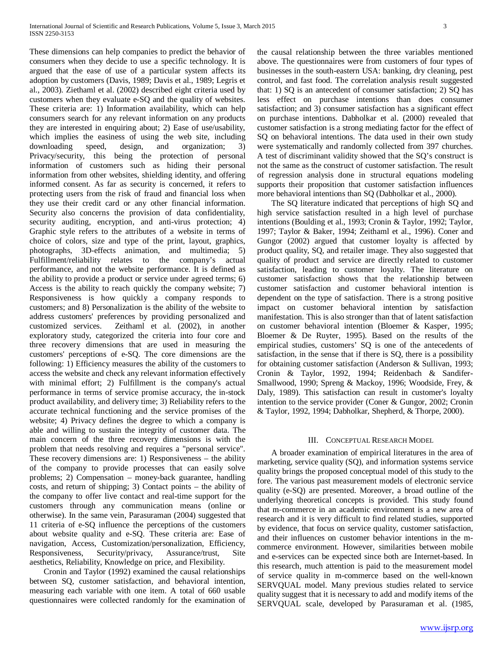These dimensions can help companies to predict the behavior of consumers when they decide to use a specific technology. It is argued that the ease of use of a particular system affects its adoption by customers (Davis, 1989; Davis et al., 1989; Legris et al., 2003). Ziethaml et al. (2002) described eight criteria used by customers when they evaluate e-SQ and the quality of websites. These criteria are: 1) Information availability, which can help consumers search for any relevant information on any products they are interested in enquiring about; 2) Ease of use/usability, which implies the easiness of using the web site, including downloading speed, design, and organization; 3) Privacy/security, this being the protection of personal information of customers such as hiding their personal information from other websites, shielding identity, and offering informed consent. As far as security is concerned, it refers to protecting users from the risk of fraud and financial loss when they use their credit card or any other financial information. Security also concerns the provision of data confidentiality, security auditing, encryption, and anti-virus protection; 4) Graphic style refers to the attributes of a website in terms of choice of colors, size and type of the print, layout, graphics, photographs, 3D-effects animation, and multimedia; 5) Fulfillment/reliability relates to the company's actual performance, and not the website performance. It is defined as the ability to provide a product or service under agreed terms; 6) Access is the ability to reach quickly the company website; 7) Responsiveness is how quickly a company responds to customers; and 8) Personalization is the ability of the website to address customers' preferences by providing personalized and customized services. Zeithaml et al. (2002), in another Zeithaml et al. (2002), in another exploratory study, categorized the criteria into four core and three recovery dimensions that are used in measuring the customers' perceptions of e-SQ. The core dimensions are the following: 1) Efficiency measures the ability of the customers to access the website and check any relevant information effectively with minimal effort; 2) Fulfillment is the company's actual performance in terms of service promise accuracy, the in-stock product availability, and delivery time; 3) Reliability refers to the accurate technical functioning and the service promises of the website; 4) Privacy defines the degree to which a company is able and willing to sustain the integrity of customer data. The main concern of the three recovery dimensions is with the problem that needs resolving and requires a "personal service". These recovery dimensions are: 1) Responsiveness – the ability of the company to provide processes that can easily solve problems; 2) Compensation – money-back guarantee, handling costs, and return of shipping; 3) Contact points – the ability of the company to offer live contact and real-time support for the customers through any communication means (online or otherwise). In the same vein, Parasuraman (2004) suggested that 11 criteria of e-SQ influence the perceptions of the customers about website quality and e-SQ. These criteria are: Ease of navigation, Access, Customization/personalization, Efficiency, Responsiveness, Security/privacy, Assurance/trust, Site aesthetics, Reliability, Knowledge on price, and Flexibility.

 Cronin and Taylor (1992) examined the causal relationships between SQ, customer satisfaction, and behavioral intention, measuring each variable with one item. A total of 660 usable questionnaires were collected randomly for the examination of the causal relationship between the three variables mentioned above. The questionnaires were from customers of four types of businesses in the south-eastern USA: banking, dry cleaning, pest control, and fast food. The correlation analysis result suggested that: 1) SQ is an antecedent of consumer satisfaction; 2) SQ has less effect on purchase intentions than does consumer satisfaction; and 3) consumer satisfaction has a significant effect on purchase intentions. Dabholkar et al. (2000) revealed that customer satisfaction is a strong mediating factor for the effect of SQ on behavioral intentions. The data used in their own study were systematically and randomly collected from 397 churches. A test of discriminant validity showed that the SQ's construct is not the same as the construct of customer satisfaction. The result of regression analysis done in structural equations modeling supports their proposition that customer satisfaction influences more behavioral intentions than SQ (Dabholkar et al., 2000).

 The SQ literature indicated that perceptions of high SQ and high service satisfaction resulted in a high level of purchase intentions (Boulding et al., 1993; Cronin & Taylor, 1992; Taylor, 1997; Taylor & Baker, 1994; Zeithaml et al., 1996). Coner and Gungor (2002) argued that customer loyalty is affected by product quality, SQ, and retailer image. They also suggested that quality of product and service are directly related to customer satisfaction, leading to customer loyalty. The literature on customer satisfaction shows that the relationship between customer satisfaction and customer behavioral intention is dependent on the type of satisfaction. There is a strong positive impact on customer behavioral intention by satisfaction manifestation. This is also stronger than that of latent satisfaction on customer behavioral intention (Bloemer & Kasper, 1995; Bloemer & De Ruyter, 1995). Based on the results of the empirical studies, customers' SQ is one of the antecedents of satisfaction, in the sense that if there is SQ, there is a possibility for obtaining customer satisfaction (Anderson & Sullivan, 1993; Cronin & Taylor, 1992, 1994; Reidenbach & Sandifer-Smallwood, 1990; Spreng & Mackoy, 1996; Woodside, Frey, & Daly, 1989). This satisfaction can result in customer's loyalty intention to the service provider (Coner & Gungor, 2002; Cronin & Taylor, 1992, 1994; Dabholkar, Shepherd, & Thorpe, 2000).

#### III. CONCEPTUAL RESEARCH MODEL

 A broader examination of empirical literatures in the area of marketing, service quality (SQ), and information systems service quality brings the proposed conceptual model of this study to the fore. The various past measurement models of electronic service quality (e-SQ) are presented. Moreover, a broad outline of the underlying theoretical concepts is provided. This study found that m-commerce in an academic environment is a new area of research and it is very difficult to find related studies, supported by evidence, that focus on service quality, customer satisfaction, and their influences on customer behavior intentions in the mcommerce environment. However, similarities between mobile and e-services can be expected since both are Internet-based. In this research, much attention is paid to the measurement model of service quality in m-commerce based on the well-known SERVQUAL model. Many previous studies related to service quality suggest that it is necessary to add and modify items of the SERVQUAL scale, developed by Parasuraman et al. (1985,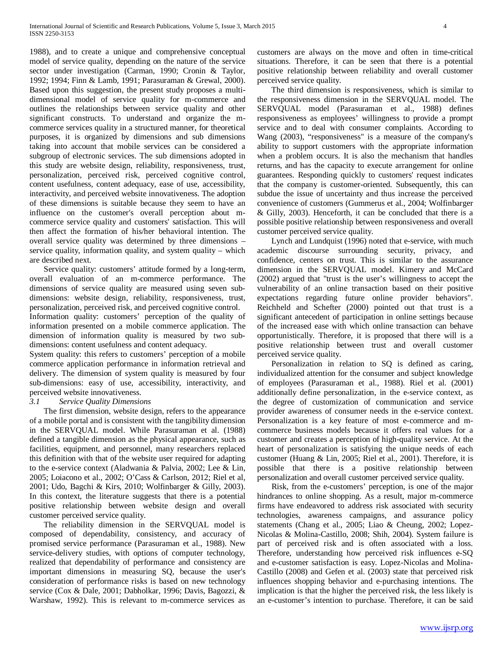1988), and to create a unique and comprehensive conceptual model of service quality, depending on the nature of the service sector under investigation (Carman, 1990; Cronin & Taylor, 1992; 1994; Finn & Lamb, 1991; Parasuraman & Grewal, 2000). Based upon this suggestion, the present study proposes a multidimensional model of service quality for m-commerce and outlines the relationships between service quality and other significant constructs. To understand and organize the mcommerce services quality in a structured manner, for theoretical purposes, it is organized by dimensions and sub dimensions taking into account that mobile services can be considered a subgroup of electronic services. The sub dimensions adopted in this study are website design, reliability, responsiveness, trust, personalization, perceived risk, perceived cognitive control, content usefulness, content adequacy, ease of use, accessibility, interactivity, and perceived website innovativeness. The adoption of these dimensions is suitable because they seem to have an influence on the customer's overall perception about mcommerce service quality and customers' satisfaction. This will then affect the formation of his/her behavioral intention. The overall service quality was determined by three dimensions – service quality, information quality, and system quality – which are described next.

 Service quality: customers' attitude formed by a long-term, overall evaluation of an m-commerce performance. The dimensions of service quality are measured using seven subdimensions: website design, reliability, responsiveness, trust, personalization, perceived risk, and perceived cognitive control. Information quality: customers' perception of the quality of information presented on a mobile commerce application. The dimension of information quality is measured by two subdimensions: content usefulness and content adequacy.

System quality: this refers to customers' perception of a mobile commerce application performance in information retrieval and delivery. The dimension of system quality is measured by four sub-dimensions: easy of use, accessibility, interactivity, and perceived website innovativeness.

### *3.1 Service Quality Dimensions*

 The first dimension, website design, refers to the appearance of a mobile portal and is consistent with the tangibility dimension in the SERVQUAL model. While Parasuraman et al. (1988) defined a tangible dimension as the physical appearance, such as facilities, equipment, and personnel, many researchers replaced this definition with that of the website user required for adapting to the e-service context (Aladwania & Palvia, 2002; Lee & Lin, 2005; Loiacono et al., 2002; O'Cass & Carlson, 2012; Riel et al, 2001; Udo, Bagchi & Kirs, 2010; Wolfinbarger & Gilly, 2003). In this context, the literature suggests that there is a potential positive relationship between website design and overall customer perceived service quality.

 The reliability dimension in the SERVQUAL model is composed of dependability, consistency, and accuracy of promised service performance (Parasuraman et al., 1988). New service-delivery studies, with options of computer technology, realized that dependability of performance and consistency are important dimensions in measuring SQ, because the user's consideration of performance risks is based on new technology service (Cox & Dale, 2001; Dabholkar, 1996; Davis, Bagozzi, & Warshaw, 1992). This is relevant to m-commerce services as

customers are always on the move and often in time-critical situations. Therefore, it can be seen that there is a potential positive relationship between reliability and overall customer perceived service quality.

 The third dimension is responsiveness, which is similar to the responsiveness dimension in the SERVQUAL model. The SERVQUAL model (Parasuraman et al., 1988) defines responsiveness as employees' willingness to provide a prompt service and to deal with consumer complaints. According to Wang (2003), "responsiveness" is a measure of the company's ability to support customers with the appropriate information when a problem occurs. It is also the mechanism that handles returns, and has the capacity to execute arrangement for online guarantees. Responding quickly to customers' request indicates that the company is customer-oriented. Subsequently, this can subdue the issue of uncertainty and thus increase the perceived convenience of customers (Gummerus et al., 2004; Wolfinbarger & Gilly, 2003). Henceforth, it can be concluded that there is a possible positive relationship between responsiveness and overall customer perceived service quality.

 Lynch and Lundquist (1996) noted that e-service, with much academic discourse surrounding security, privacy, and confidence, centers on trust. This is similar to the assurance dimension in the SERVQUAL model. Kimery and McCard (2002) argued that "trust is the user's willingness to accept the vulnerability of an online transaction based on their positive expectations regarding future online provider behaviors". Reichheld and Schefter (2000) pointed out that trust is a significant antecedent of participation in online settings because of the increased ease with which online transaction can behave opportunistically. Therefore, it is proposed that there will is a positive relationship between trust and overall customer perceived service quality.

 Personalization in relation to SQ is defined as caring, individualized attention for the consumer and subject knowledge of employees (Parasuraman et al., 1988). Riel et al. (2001) additionally define personalization, in the e-service context, as the degree of customization of communication and service provider awareness of consumer needs in the e-service context. Personalization is a key feature of most e-commerce and mcommerce business models because it offers real values for a customer and creates a perception of high-quality service. At the heart of personalization is satisfying the unique needs of each customer (Huang & Lin, 2005; Riel et al., 2001). Therefore, it is possible that there is a positive relationship between personalization and overall customer perceived service quality.

 Risk, from the e-customers' perception, is one of the major hindrances to online shopping. As a result, major m-commerce firms have endeavored to address risk associated with security technologies, awareness campaigns, and assurance policy statements (Chang et al., 2005; Liao & Cheung, 2002; Lopez-Nicolas & Molina-Castillo, 2008; Shih, 2004). System failure is part of perceived risk and is often associated with a loss. Therefore, understanding how perceived risk influences e-SQ and e-customer satisfaction is easy. Lopez-Nicolas and Molina-Castillo (2008) and Gefen et al. (2003) state that perceived risk influences shopping behavior and e-purchasing intentions. The implication is that the higher the perceived risk, the less likely is an e-customer's intention to purchase. Therefore, it can be said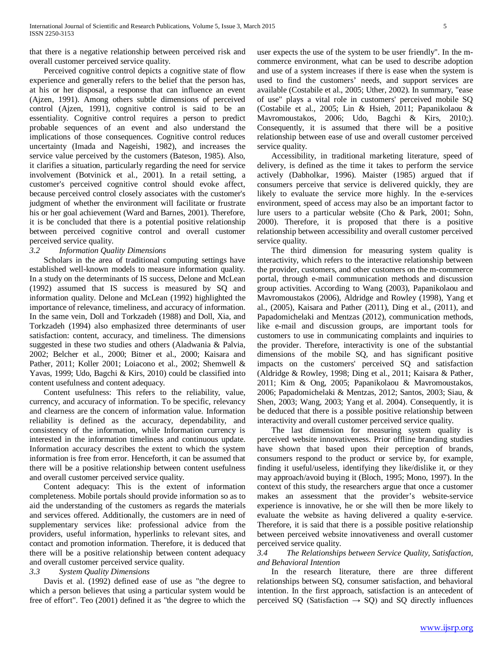that there is a negative relationship between perceived risk and overall customer perceived service quality.

 Perceived cognitive control depicts a cognitive state of flow experience and generally refers to the belief that the person has, at his or her disposal, a response that can influence an event (Ajzen, 1991). Among others subtle dimensions of perceived control (Ajzen, 1991), cognitive control is said to be an essentiality. Cognitive control requires a person to predict probable sequences of an event and also understand the implications of those consequences. Cognitive control reduces uncertainty (Imada and Nageishi, 1982), and increases the service value perceived by the customers (Bateson, 1985). Also, it clarifies a situation, particularly regarding the need for service involvement (Botvinick et al., 2001). In a retail setting, a customer's perceived cognitive control should evoke affect, because perceived control closely associates with the customer's judgment of whether the environment will facilitate or frustrate his or her goal achievement (Ward and Barnes, 2001). Therefore, it is be concluded that there is a potential positive relationship between perceived cognitive control and overall customer perceived service quality.

#### *3.2 Information Quality Dimensions*

 Scholars in the area of traditional computing settings have established well-known models to measure information quality. In a study on the determinants of IS success, Delone and McLean (1992) assumed that IS success is measured by SQ and information quality. Delone and McLean (1992) highlighted the importance of relevance, timeliness, and accuracy of information. In the same vein, Doll and Torkzadeh (1988) and Doll, Xia, and Torkzadeh (1994) also emphasized three determinants of user satisfaction: content, accuracy, and timeliness. The dimensions suggested in these two studies and others (Aladwania & Palvia, 2002; Belcher et al., 2000; Bitner et al., 2000; Kaisara and Pather, 2011; Koller 2001; Loiacono et al., 2002; Shemwell & Yavas, 1999; Udo, Bagchi & Kirs, 2010) could be classified into content usefulness and content adequacy.

 Content usefulness: This refers to the reliability, value, currency, and accuracy of information. To be specific, relevancy and clearness are the concern of information value. Information reliability is defined as the accuracy, dependability, and consistency of the information, while Information currency is interested in the information timeliness and continuous update. Information accuracy describes the extent to which the system information is free from error. Henceforth, it can be assumed that there will be a positive relationship between content usefulness and overall customer perceived service quality.

 Content adequacy: This is the extent of information completeness. Mobile portals should provide information so as to aid the understanding of the customers as regards the materials and services offered. Additionally, the customers are in need of supplementary services like: professional advice from the providers, useful information, hyperlinks to relevant sites, and contact and promotion information. Therefore, it is deduced that there will be a positive relationship between content adequacy and overall customer perceived service quality.

## *3.3 System Quality Dimensions*

 Davis et al. (1992) defined ease of use as "the degree to which a person believes that using a particular system would be free of effort". Teo (2001) defined it as "the degree to which the user expects the use of the system to be user friendly". In the mcommerce environment, what can be used to describe adoption and use of a system increases if there is ease when the system is used to find the customers' needs, and support services are available (Costabile et al., 2005; Uther, 2002). In summary, "ease of use" plays a vital role in customers' perceived mobile SQ (Costabile et al., 2005; Lin & Hsieh, 2011; Papanikolaou & Mavromoustakos, 2006; Udo, Bagchi & Kirs, 2010;). Consequently, it is assumed that there will be a positive relationship between ease of use and overall customer perceived service quality.

 Accessibility, in traditional marketing literature, speed of delivery, is defined as the time it takes to perform the service actively (Dabholkar, 1996). Maister (1985) argued that if consumers perceive that service is delivered quickly, they are likely to evaluate the service more highly. In the e-services environment, speed of access may also be an important factor to lure users to a particular website (Cho & Park, 2001; Sohn, 2000). Therefore, it is proposed that there is a positive relationship between accessibility and overall customer perceived service quality.

 The third dimension for measuring system quality is interactivity, which refers to the interactive relationship between the provider, customers, and other customers on the m-commerce portal, through e-mail communication methods and discussion group activities. According to Wang (2003), Papanikolaou and Mavromoustakos (2006), Aldridge and Rowley (1998), Yang et al., (2005), Kaisara and Pather (2011), Ding et al., (2011), and Papadomichelaki and Mentzas (2012), communication methods, like e-mail and discussion groups, are important tools for customers to use in communicating complaints and inquiries to the provider. Therefore, interactivity is one of the substantial dimensions of the mobile SQ, and has significant positive impacts on the customers' perceived SQ and satisfaction (Aldridge & Rowley, 1998; Ding et al., 2011; Kaisara & Pather, 2011; Kim & Ong, 2005; Papanikolaou & Mavromoustakos, 2006; Papadomichelaki & Mentzas, 2012; Santos, 2003; Siau, & Shen, 2003; Wang, 2003; Yang et al. 2004). Consequently, it is be deduced that there is a possible positive relationship between interactivity and overall customer perceived service quality.

 The last dimension for measuring system quality is perceived website innovativeness. Prior offline branding studies have shown that based upon their perception of brands, consumers respond to the product or service by, for example, finding it useful/useless, identifying they like/dislike it, or they may approach/avoid buying it (Bloch, 1995; Mono, 1997). In the context of this study, the researchers argue that once a customer makes an assessment that the provider's website-service experience is innovative, he or she will then be more likely to evaluate the website as having delivered a quality e-service. Therefore, it is said that there is a possible positive relationship between perceived website innovativeness and overall customer perceived service quality.

### *3.4 The Relationships between Service Quality, Satisfaction, and Behavioral Intention*

 In the research literature, there are three different relationships between SQ, consumer satisfaction, and behavioral intention. In the first approach, satisfaction is an antecedent of perceived SQ (Satisfaction  $\rightarrow$  SQ) and SQ directly influences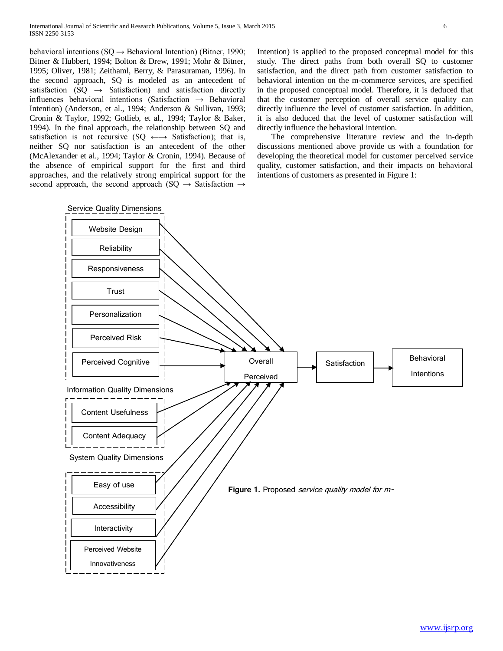behavioral intentions ( $SQ \rightarrow$  Behavioral Intention) (Bitner, 1990; Bitner & Hubbert, 1994; Bolton & Drew, 1991; Mohr & Bitner, 1995; Oliver, 1981; Zeithaml, Berry, & Parasuraman, 1996). In the second approach, SQ is modeled as an antecedent of satisfaction (SQ  $\rightarrow$  Satisfaction) and satisfaction directly influences behavioral intentions (Satisfaction → Behavioral Intention) (Anderson, et al., 1994; Anderson & Sullivan, 1993; Cronin & Taylor, 1992; Gotlieb, et al., 1994; Taylor & Baker, 1994). In the final approach, the relationship between SQ and satisfaction is not recursive (SQ  $\leftarrow \rightarrow$  Satisfaction); that is, neither SQ nor satisfaction is an antecedent of the other (McAlexander et al., 1994; Taylor & Cronin, 1994). Because of the absence of empirical support for the first and third approaches, and the relatively strong empirical support for the second approach, the second approach (SQ  $\rightarrow$  Satisfaction  $\rightarrow$ 

Intention) is applied to the proposed conceptual model for this study. The direct paths from both overall SQ to customer satisfaction, and the direct path from customer satisfaction to behavioral intention on the m-commerce services, are specified in the proposed conceptual model. Therefore, it is deduced that that the customer perception of overall service quality can directly influence the level of customer satisfaction. In addition, it is also deduced that the level of customer satisfaction will directly influence the behavioral intention.

 The comprehensive literature review and the in-depth discussions mentioned above provide us with a foundation for developing the theoretical model for customer perceived service quality, customer satisfaction, and their impacts on behavioral intentions of customers as presented in Figure 1:

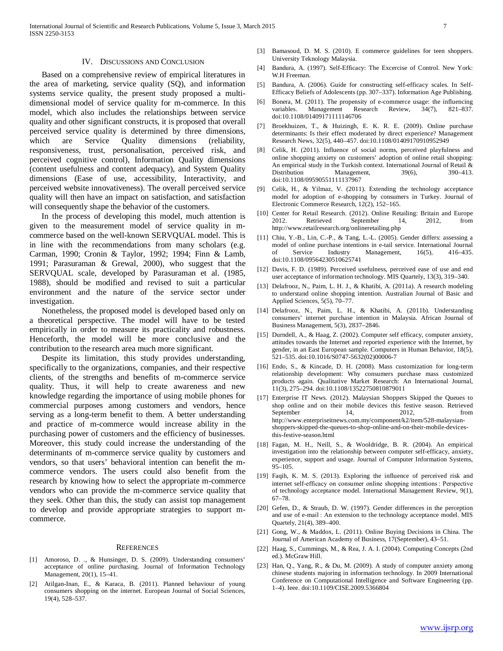#### IV. DISCUSSIONS AND CONCLUSION

 Based on a comprehensive review of empirical literatures in the area of marketing, service quality (SQ), and information systems service quality, the present study proposed a multidimensional model of service quality for m-commerce. In this model, which also includes the relationships between service quality and other significant constructs, it is proposed that overall perceived service quality is determined by three dimensions, which are Service Quality dimensions (reliability, responsiveness, trust, personalisation, perceived risk, and perceived cognitive control), Information Quality dimensions (content usefulness and content adequacy), and System Quality dimensions (Ease of use, accessibility, Interactivity, and perceived website innovativeness). The overall perceived service quality will then have an impact on satisfaction, and satisfaction will consequently shape the behavior of the customers.

 In the process of developing this model, much attention is given to the measurement model of service quality in mcommerce based on the well-known SERVQUAL model. This is in line with the recommendations from many scholars (e.g. Carman, 1990; Cronin & Taylor, 1992; 1994; Finn & Lamb, 1991; Parasuraman & Grewal, 2000), who suggest that the SERVQUAL scale, developed by Parasuraman et al. (1985, 1988), should be modified and revised to suit a particular environment and the nature of the service sector under investigation.

 Nonetheless, the proposed model is developed based only on a theoretical perspective. The model will have to be tested empirically in order to measure its practicality and robustness. Henceforth, the model will be more conclusive and the contribution to the research area much more significant.

 Despite its limitation, this study provides understanding, specifically to the organizations, companies, and their respective clients, of the strengths and benefits of m-commerce service quality. Thus, it will help to create awareness and new knowledge regarding the importance of using mobile phones for commercial purposes among customers and vendors, hence serving as a long-term benefit to them. A better understanding and practice of m-commerce would increase ability in the purchasing power of customers and the efficiency of businesses. Moreover, this study could increase the understanding of the determinants of m-commerce service quality by customers and vendors, so that users' behavioral intention can benefit the mcommerce vendors. The users could also benefit from the research by knowing how to select the appropriate m-commerce vendors who can provide the m-commerce service quality that they seek. Other than this, the study can assist top management to develop and provide appropriate strategies to support mcommerce.

#### **REFERENCES**

- [1] Amoroso, D. ., & Hunsinger, D. S. (2009). Understanding consumers' acceptance of online purchasing. Journal of Information Technology Management, 20(1), 15–41.
- [2] Atilgan-Inan, E., & Karaca, B. (2011). Planned behaviour of young consumers shopping on the internet. European Journal of Social Sciences, 19(4), 528–537.
- [3] Bamasoud, D. M. S. (2010). E commerce guidelines for teen shoppers. University Teknology Malaysia.
- [4] Bandura, A. (1997). Self-Efficacy: The Excercise of Control. New York: W.H Freeman.
- [5] Bandura, A. (2006). Guide for constructing self-efficacy scales. In Self-Efficacy Beliefs of Adolescents (pp. 307–337). Information Age Publishing.
- [6] Bonera, M. (2011). The propensity of e-commerce usage: the influencing variables. Management Research Review, 34(7), 821–837. doi:10.1108/01409171111146706
- [7] Broekhuizen, T., & Huizingh, E. K. R. E. (2009). Online purchase determinants: Is their effect moderated by direct experience? Management Research News, 32(5), 440–457. doi:10.1108/01409170910952949
- [8] Celik, H. (2011). Influence of social norms, perceived playfulness and online shopping anxiety on customers' adoption of online retail shopping: An empirical study in the Turkish context. International Journal of Retail & Distribution Management, 39(6), 390–413. doi:10.1108/09590551111137967
- [9] Celik, H., & Yilmaz, V. (2011). Extending the technology acceptance model for adoption of e-shopping by consumers in Turkey. Journal of Electronic Commerce Research, 12(2), 152–165.
- [10] Center for Retail Research. (2012). Online Retailing: Britain and Europe 2012. Retrieved September 14, 2012, from http://www.retailresearch.org/onlineretailing.php
- [11] Chiu, Y.-B., Lin, C.-P., & Tang, L.-L. (2005). Gender differs: assessing a model of online purchase intentions in e-tail service. International Journal of Service Industry Management, 16(5), 416–435. doi:10.1108/09564230510625741
- [12] Davis, F. D. (1989). Perceived usefulness, perceived ease of use and end user acceptance of information technology. MIS Quartely, 13(3), 319–340.
- [13] Delafrooz, N., Paim, L. H. J., & Khatibi, A. (2011a). A research modeling to understand online shopping intention. Australian Journal of Basic and Applied Sciences, 5(5), 70–77.
- [14] Delafrooz, N., Paim, L. H., & Khatibi, A. (2011b). Understanding consumers' internet purchase intention in Malaysia. African Journal of Business Management, 5(3), 2837–2846.
- [15] Durndell, A., & Haag, Z. (2002). Computer self efficacy, computer anxiety, attitudes towards the Internet and reported experience with the Internet, by gender, in an East European sample. Computers in Human Behavior, 18(5), 521–535. doi:10.1016/S0747-5632(02)00006-7
- [16] Endo, S., & Kincade, D. H. (2008). Mass customization for long-term relationship development: Why consumers purchase mass customized products again. Qualitative Market Research: An International Journal, 11(3), 275–294. doi:10.1108/13522750810879011
- [17] Enterprise IT News. (2012). Malaysian Shoppers Skipped the Queues to shop online and on their mobile devices this festive season. Retrieved September 14, 2012, from http://www.enterpriseitnews.com.my/component/k2/item/528-malaysianshoppers-skipped-the-queues-to-shop-online-and-on-their-mobile-devicesthis-festive-season.html
- [18] Fagan, M. H., Neill, S., & Wooldridge, B. R. (2004). An empirical investigation into the relationship between computer self-efficacy, anxiety, experience, support and usage. Journal of Computer Information Systems, 95–105.
- [19] Faqih, K. M. S. (2013). Exploring the influence of perceived risk and internet self-efficacy on consumer online shopping intentions : Perspective of technology acceptance model. International Management Review, 9(1), 67–78.
- [20] Gefen, D., & Straub, D. W. (1997). Gender differences in the perception and use of e-mail : An extension to the technology acceptance model. MIS Quartely, 21(4), 389–400.
- [21] Gong, W., & Maddox, L. (2011). Online Buying Decisions in China. The Journal of American Academy of Business, 17(September), 43–51.
- [22] Haag, S., Cummings, M., & Rea, J. A. I. (2004). Computing Concepts (2nd) ed.). McGraw Hill.
- [23] Han, Q., Yang, R., & Du, M. (2009). A study of computer anxiety among chinese students majoring in information technology. In 2009 International Conference on Computational Intelligence and Software Engineering (pp. 1–4). Ieee. doi:10.1109/CISE.2009.5366804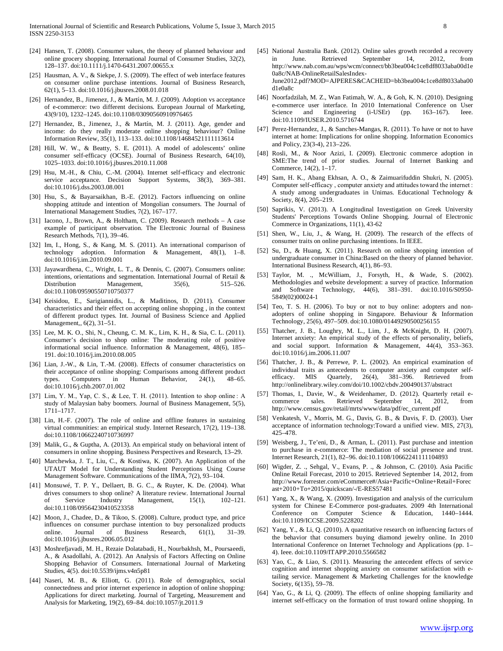- [24] Hansen, T. (2008). Consumer values, the theory of planned behaviour and online grocery shopping. International Journal of Consumer Studies, 32(2), 128–137. doi:10.1111/j.1470-6431.2007.00655.x
- [25] Hausman, A. V., & Siekpe, J. S. (2009). The effect of web interface features on consumer online purchase intentions. Journal of Business Research, 62(1), 5–13. doi:10.1016/j.jbusres.2008.01.018
- [26] Hernandez, B., Jimenez, J., & Martín, M. J. (2009). Adoption vs acceptance of e-commerce: two different decisions. European Journal of Marketing, 43(9/10), 1232–1245. doi:10.1108/03090560910976465
- [27] Hernandez, B., Jimenez, J., & Martín, M. J. (2011). Age, gender and income: do they really moderate online shopping behaviour? Online Information Review, 35(1), 113–133. doi:10.1108/14684521111113614
- [28] Hill, W. W., & Beatty, S. E. (2011). A model of adolescents' online consumer self-efficacy (OCSE). Journal of Business Research, 64(10), 1025–1033. doi:10.1016/j.jbusres.2010.11.008
- [29] Hsu, M.-H., & Chiu, C.-M. (2004). Internet self-efficacy and electronic service acceptance. Decision Support Systems, 38(3), 369-381. doi:10.1016/j.dss.2003.08.001
- [30] Hsu, S., & Bayarsaikhan, B.-E. (2012). Factors influencing on online shopping attitude and intention of Mongolian consumers. The Journal of International Management Studies, 7(2), 167–177.
- [31] Iacono, J., Brown, A., & Holtham, C. (2009). Research methods A case example of participant observation. The Electronic Journal of Business Research Methods, 7(1), 39–46.
- [32] Im, I., Hong, S., & Kang, M. S. (2011). An international comparison of technology adoption. Information & Management, 48(1), 1–8. doi:10.1016/j.im.2010.09.001
- [33] Jayawardhena, C., Wright, L. T., & Dennis, C. (2007). Consumers online: intentions, orientations and segmentation. International Journal of Retail & Distribution Management,  $35(6)$ ,  $515-526$ . Management, doi:10.1108/09590550710750377
- [34] Keisidou, E., Sarigiannidis, L., & Maditinos, D. (2011). Consumer characteristics and their effect on accepting online shopping , in the context of different product types. Int. Journal of Business Science and Applied Management,, 6(2), 31–51.
- [35] Lee, M. K. O., Shi, N., Cheung, C. M. K., Lim, K. H., & Sia, C. L. (2011). Consumer's decision to shop online: The moderating role of positive informational social influence. Information & Management, 48(6), 185– 191. doi:10.1016/j.im.2010.08.005
- [36] Lian, J.-W., & Lin, T.-M. (2008). Effects of consumer characteristics on their acceptance of online shopping: Comparisons among different product types. Computers in Human Behavior, 24(1), 48–65. doi:10.1016/j.chb.2007.01.002
- [37] Lim, Y. M., Yap, C. S., & Lee, T. H. (2011). Intention to shop online : A study of Malaysian baby boomers. Journal of Business Management, 5(5), 1711–1717.
- [38] Lin, H.-F. (2007). The role of online and offline features in sustaining virtual communities: an empirical study. Internet Research, 17(2), 119–138. doi:10.1108/10662240710736997
- [39] Malik, G., & Guptha, A. (2013). An empirical study on behavioral intent of consumers in online shopping. Business Perspectives and Research, 13–29.
- [40] Marchewka, J. T., Liu, C., & Kostiwa, K. (2007). An Application of the UTAUT Model for Understanding Student Perceptions Using Course Management Software. Communications of the IIMA, 7(2), 93–104.
- [41] Monsuwé, T. P. Y., Dellaert, B. G. C., & Ruyter, K. De. (2004). What drives consumers to shop online? A literature review. International Journal of Service Industry Management, 15(1), 102–121. doi:10.1108/09564230410523358
- [42] Moon, J., Chadee, D., & Tikoo, S. (2008). Culture, product type, and price influences on consumer purchase intention to buy personalized products online. Journal of Business Research, 61(1), 31–39. doi:10.1016/j.jbusres.2006.05.012
- [43] Moshrefjavadi, M. H., Rezaie Dolatabadi, H., Nourbakhsh, M., Poursaeedi, A., & Asadollahi, A. (2012). An Analysis of Factors Affecting on Online Shopping Behavior of Consumers. International Journal of Marketing Studies, 4(5). doi:10.5539/ijms.v4n5p81
- [44] Naseri, M. B., & Elliott, G. (2011). Role of demographics, social connectedness and prior internet experience in adoption of online shopping: Applications for direct marketing. Journal of Targeting, Measurement and Analysis for Marketing, 19(2), 69–84. doi:10.1057/jt.2011.9
- [45] National Australia Bank. (2012). Online sales growth recorded a recovery in June. Retrieved September 14, 2012, from http://www.nab.com.au/wps/wcm/connect/bb3bea004c1ce8df8033aba00d1e 0a8c/NAB-OnlineRetailSalesIndex-June2012.pdf?MOD=AJPERES&CACHEID=bb3bea004c1ce8df8033aba00 d1e0a8c
- [46] Noorfadzilah, M. Z., Wan Fatimah, W. A., & Goh, K. N. (2010). Designing e-commerce user interface. In 2010 International Conference on User Science and Engineering (i-USEr) (pp. 163–167). doi:10.1109/IUSER.2010.5716744
- [47] Perez-Hernandez, J., & Sanches-Mangas, R. (2011). To have or not to have internet at home: Implications for online shopping. Information Economics and Policy, 23(3-4), 213–226.
- [48] Rosli, M., & Noor Azizi, I. (2009). Electronic commerce adoption in SME:The trend of prior studies. Journal of Internet Banking and Commerce, 14(2), 1–17.
- [49] Sam, H. K., Abang Ekhsan, A. O., & Zaimuarifuddin Shukri, N. (2005). Computer self-efficacy , computer anxiety and attitudes toward the internet : A study among undergraduates in Unimas. Educational Technology & Society, 8(4), 205–219.
- [50] Saprikis, V. (2013). A Longitudinal Investigation on Greek University Students' Perceptions Towards Online Shopping. Journal of Electronic Commerce in Organizations, 11(1), 43-62
- [51] Shen, W., Liu, J., & Wang, H. (2009). The research of the effects of consumer traits on online purchasing intentions. In IEEE.
- [52] Su, D., & Huang, X. (2011). Research on online shopping intention of undergraduate consumer in China:Based on the theory of planned behavior. International Business Research, 4(1), 86–93.
- [53] Taylor, M. ., McWilliam, J., Forsyth, H., & Wade, S. (2002). Methodologies and website development: a survey of practice. Information and Software Technology, 44(6), 381–391. doi:10.1016/S0950- 5849(02)00024-1
- [54] Teo, T. S. H. (2006). To buy or not to buy online: adopters and nonadopters of online shopping in Singapore. Behaviour & Information Technology, 25(6), 497–509. doi:10.1080/01449290500256155
- [55] Thatcher, J. B., Loughry, M. L., Lim, J., & McKnight, D. H. (2007). Internet anxiety: An empirical study of the effects of personality, beliefs, and social support. Information & Management, 44(4), 353–363. doi:10.1016/j.im.2006.11.007
- [56] Thatcher, J. B., & Perrewe, P. L. (2002). An empirical examination of individual traits as antecedents to computer anxiety and computer selfefficacy. MIS Quartely, 26(4), 381–396. Retrieved from http://onlinelibrary.wiley.com/doi/10.1002/cbdv.200490137/abstract
- [57] Thomas, I., Davie, W., & Weidenhamer, D. (2012). Quarterly retail e-September 14, 2012, http://www.census.gov/retail/mrts/www/data/pdf/ec\_current.pdf
- [58] Venkatesh, V., Morris, M. G., Davis, G. B., & Davis, F. D. (2003). User acceptance of information technology:Toward a unified view. MIS, 27(3), 425–478.
- [59] Weisberg, J., Te'eni, D., & Arman, L. (2011). Past purchase and intention to purchase in e-commerce: The mediation of social presence and trust. Internet Research, 21(1), 82–96. doi:10.1108/10662241111104893
- [60] Wigder, Z. ., Sehgal, V., Evans, P. ., & Johnson, C. (2010). Asia Pacific Online Retail Forecast, 2010 to 2015. Retrieved September 14, 2012, from http://www.forrester.com/eCommerce#/Asia+Pacific+Online+Retail+Forec ast+2010+To+2015/quickscan/-/E-RES57481
- [61] Yang, X., & Wang, X. (2009). Investigation and analysis of the curriculum system for Chinese E-Commerce post-graduates. 2009 4th International Conference on Computer Science & Education, 1440–1444. doi:10.1109/ICCSE.2009.5228202
- [62] Yang, Y., & Li, Q. (2010). A quantitative research on influencing factors of the behavior that consumers buying diamond jewelry online. In 2010 International Conference on Internet Technology and Applications (pp. 1– 4). Ieee. doi:10.1109/ITAPP.2010.5566582
- [63] Yao, C., & Liao, S. (2011). Measuring the antecedent effects of service cognition and internet shopping anxiety on consumer satisfaction with etailing service. Management & Marketing Challenges for the knowledge Society, 6(135), 59–78.
- [64] Yao, G., & Li, Q. (2009). The effects of online shopping familiarity and internet self-efficacy on the formation of trust toward online shopping. In